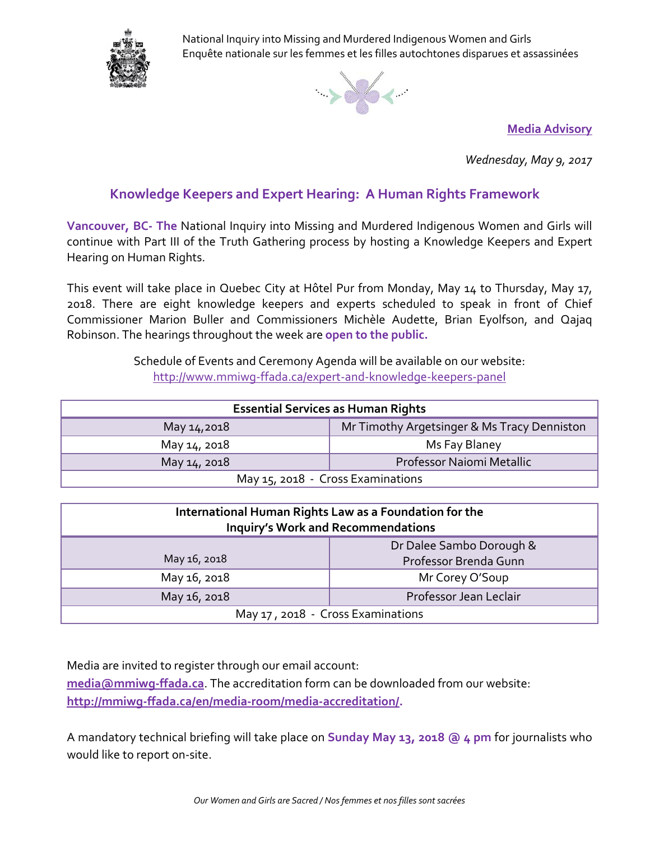

National Inquiry into Missing and Murdered Indigenous Women and Girls Enquête nationale sur les femmes et les filles autochtones disparues et assassinées



**Media Advisory**

*Wednesday, May 9, 2017*

## **Knowledge Keepers and Expert Hearing: A Human Rights Framework**

**Vancouver, BC- The** National Inquiry into Missing and Murdered Indigenous Women and Girls will continue with Part III of the Truth Gathering process by hosting a Knowledge Keepers and Expert Hearing on Human Rights.

This event will take place in Quebec City at Hôtel Pur from Monday, May 14 to Thursday, May 17, 2018. There are eight knowledge keepers and experts scheduled to speak in front of Chief Commissioner Marion Buller and Commissioners Michèle Audette, Brian Eyolfson, and Qajaq Robinson. The hearings throughout the week are **open to the public.**

> Schedule of Events and Ceremony Agenda will be available on our website: <http://www.mmiwg-ffada.ca/expert-and-knowledge-keepers-panel>

| <b>Essential Services as Human Rights</b> |                                             |
|-------------------------------------------|---------------------------------------------|
| May 14,2018                               | Mr Timothy Argetsinger & Ms Tracy Denniston |
| May 14, 2018                              | Ms Fay Blaney                               |
| May 14, 2018                              | Professor Naiomi Metallic                   |
| May 15, 2018 - Cross Examinations         |                                             |

| International Human Rights Law as a Foundation for the<br><b>Inquiry's Work and Recommendations</b> |                          |
|-----------------------------------------------------------------------------------------------------|--------------------------|
|                                                                                                     | Dr Dalee Sambo Dorough & |
| May 16, 2018                                                                                        | Professor Brenda Gunn    |
| May 16, 2018                                                                                        | Mr Corey O'Soup          |
| May 16, 2018                                                                                        | Professor Jean Leclair   |
| May 17, 2018 - Cross Examinations                                                                   |                          |

Media are invited to register through our email account:

**[media@mmiwg-ffada.ca](mailto:media@mmiwg-ffada.ca)**. The accreditation form can be downloaded from our website: **[http://mmiwg-ffada.ca/en/media-room/media-accreditation/.](http://mmiwg-ffada.ca/en/media-room/media-accreditation/)**

A mandatory technical briefing will take place on **Sunday May 13, 2018 @ 4 pm** for journalists who would like to report on-site.